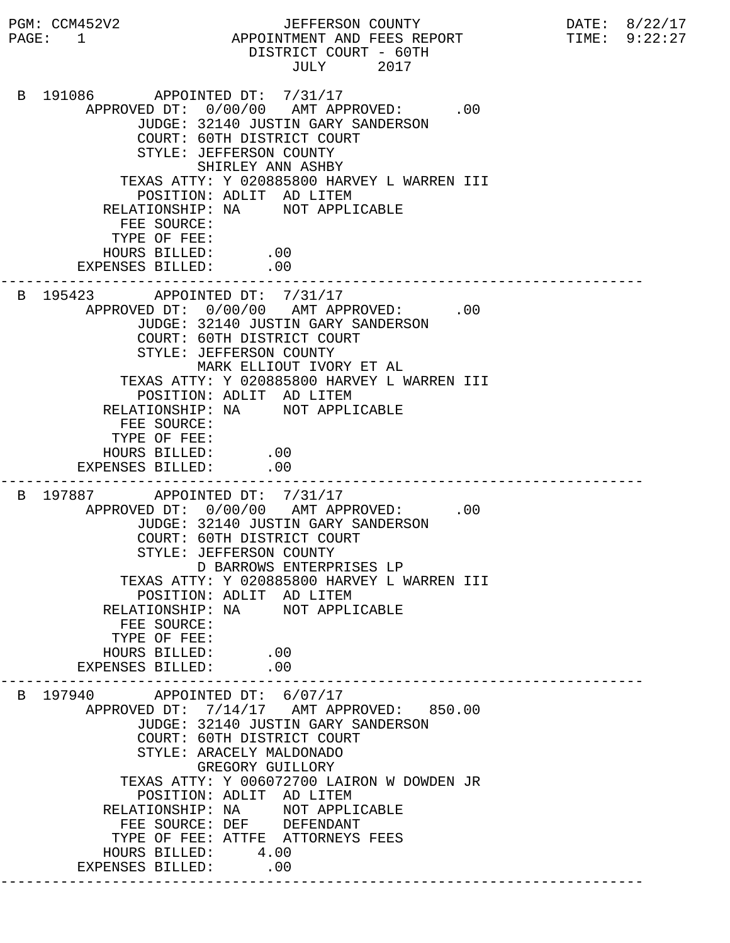PGM: CCM452V2 JEFFERSON COUNTY DATE: 8/22/17 PAGE: 1 APPOINTMENT AND FEES REPORT TIME: 9:22:27 DISTRICT COURT - 60TH JULY 2017 B 191086 APPOINTED DT: 7/31/17 APPROVED DT:  $0/00/00$  AMT APPROVED: .00 JUDGE: 32140 JUSTIN GARY SANDERSON COURT: 60TH DISTRICT COURT STYLE: JEFFERSON COUNTY SHIRLEY ANN ASHBY TEXAS ATTY: Y 020885800 HARVEY L WARREN III POSITION: ADLIT AD LITEM RELATIONSHIP: NA NOT APPLICABLE FEE SOURCE: TYPE OF FEE: HOURS BILLED: .00 EXPENSES BILLED: .00 --------------------------------------------------------------------------- B 195423 APPOINTED DT: 7/31/17 APPROVED DT:  $0/00/00$  AMT APPROVED: .00 JUDGE: 32140 JUSTIN GARY SANDERSON COURT: 60TH DISTRICT COURT STYLE: JEFFERSON COUNTY MARK ELLIOUT IVORY ET AL TEXAS ATTY: Y 020885800 HARVEY L WARREN III POSITION: ADLIT AD LITEM RELATIONSHIP: NA NOT APPLICABLE FEE SOURCE: TYPE OF FEE: HOURS BILLED: .00 EXPENSES BILLED: .00 --------------------------------------------------------------------------- B 197887 APPOINTED DT: 7/31/17 APPROVED DT:  $0/00/00$  AMT APPROVED: .00 JUDGE: 32140 JUSTIN GARY SANDERSON COURT: 60TH DISTRICT COURT STYLE: JEFFERSON COUNTY D BARROWS ENTERPRISES LP TEXAS ATTY: Y 020885800 HARVEY L WARREN III POSITION: ADLIT AD LITEM RELATIONSHIP: NA NOT APPLICABLE FEE SOURCE: TYPE OF FEE: HOURS BILLED: .00<br>ENSES BILLED: .00 EXPENSES BILLED: --------------------------------------------------------------------------- B 197940 APPOINTED DT: 6/07/17 APPROVED DT: 7/14/17 AMT APPROVED: 850.00 JUDGE: 32140 JUSTIN GARY SANDERSON COURT: 60TH DISTRICT COURT STYLE: ARACELY MALDONADO GREGORY GUILLORY TEXAS ATTY: Y 006072700 LAIRON W DOWDEN JR POSITION: ADLIT AD LITEM RELATIONSHIP: NA NOT APPLICABLE FEE SOURCE: DEF DEFENDANT TYPE OF FEE: ATTFE ATTORNEYS FEES HOURS BILLED: 4.00 EXPENSES BILLED: .00 ---------------------------------------------------------------------------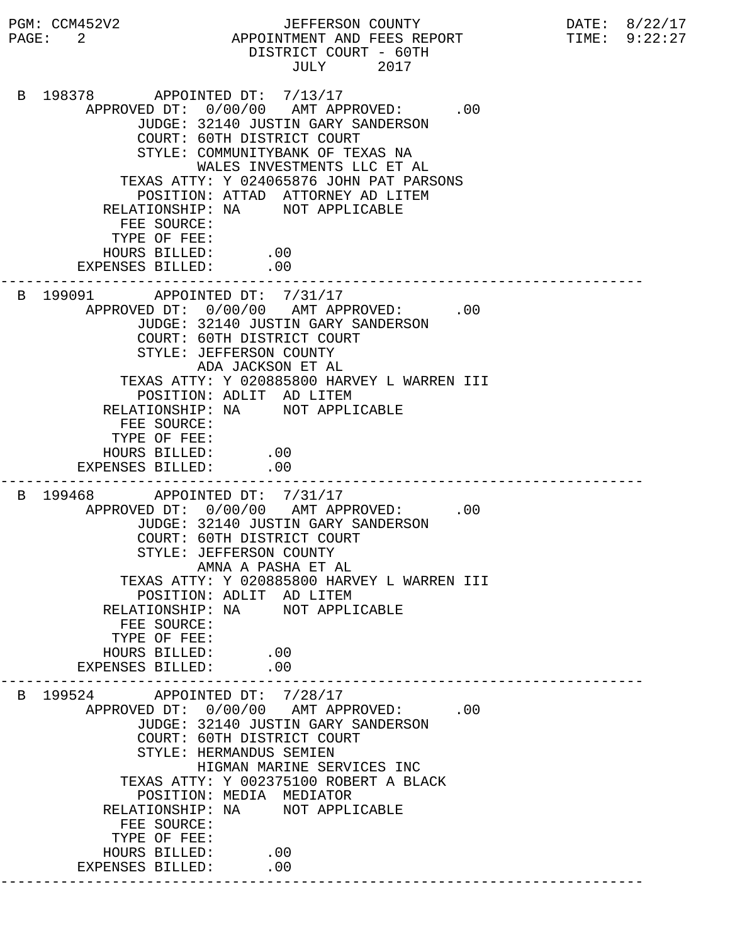PGM: CCM452V2 JEFFERSON COUNTY DATE: 8/22/17 PAGE: 2 APPOINTMENT AND FEES REPORT TIME: 9:22:27 DISTRICT COURT - 60TH JULY 2017 B 198378 APPOINTED DT: 7/13/17 APPROVED DT:  $0/00/00$  AMT APPROVED: .00 JUDGE: 32140 JUSTIN GARY SANDERSON COURT: 60TH DISTRICT COURT STYLE: COMMUNITYBANK OF TEXAS NA WALES INVESTMENTS LLC ET AL TEXAS ATTY: Y 024065876 JOHN PAT PARSONS POSITION: ATTAD ATTORNEY AD LITEM RELATIONSHIP: NA NOT APPLICABLE FEE SOURCE: TYPE OF FEE: HOURS BILLED: .00 EXPENSES BILLED: .00 --------------------------------------------------------------------------- B 199091 APPOINTED DT: 7/31/17 APPROVED DT:  $0/00/00$  AMT APPROVED: .00 JUDGE: 32140 JUSTIN GARY SANDERSON COURT: 60TH DISTRICT COURT STYLE: JEFFERSON COUNTY ADA JACKSON ET AL TEXAS ATTY: Y 020885800 HARVEY L WARREN III POSITION: ADLIT AD LITEM RELATIONSHIP: NA NOT APPLICABLE FEE SOURCE: TYPE OF FEE: HOURS BILLED: .00 EXPENSES BILLED: .00 --------------------------------------------------------------------------- B 199468 APPOINTED DT: 7/31/17 APPROVED DT:  $0/00/00$  AMT APPROVED: .00 JUDGE: 32140 JUSTIN GARY SANDERSON COURT: 60TH DISTRICT COURT STYLE: JEFFERSON COUNTY AMNA A PASHA ET AL TEXAS ATTY: Y 020885800 HARVEY L WARREN III POSITION: ADLIT AD LITEM RELATIONSHIP: NA NOT APPLICABLE FEE SOURCE: TYPE OF FEE: HOURS BILLED: .00<br>PENSES BILLED: .00 EXPENSES BILLED: --------------------------------------------------------------------------- B 199524 APPOINTED DT: 7/28/17 APPROVED DT:  $0/00/00$  AMT APPROVED: .00 JUDGE: 32140 JUSTIN GARY SANDERSON COURT: 60TH DISTRICT COURT STYLE: HERMANDUS SEMIEN HIGMAN MARINE SERVICES INC TEXAS ATTY: Y 002375100 ROBERT A BLACK POSITION: MEDIA MEDIATOR RELATIONSHIP: NA NOT APPLICABLE FEE SOURCE: TYPE OF FEE: HOURS BILLED: .00 EXPENSES BILLED: .00 ---------------------------------------------------------------------------